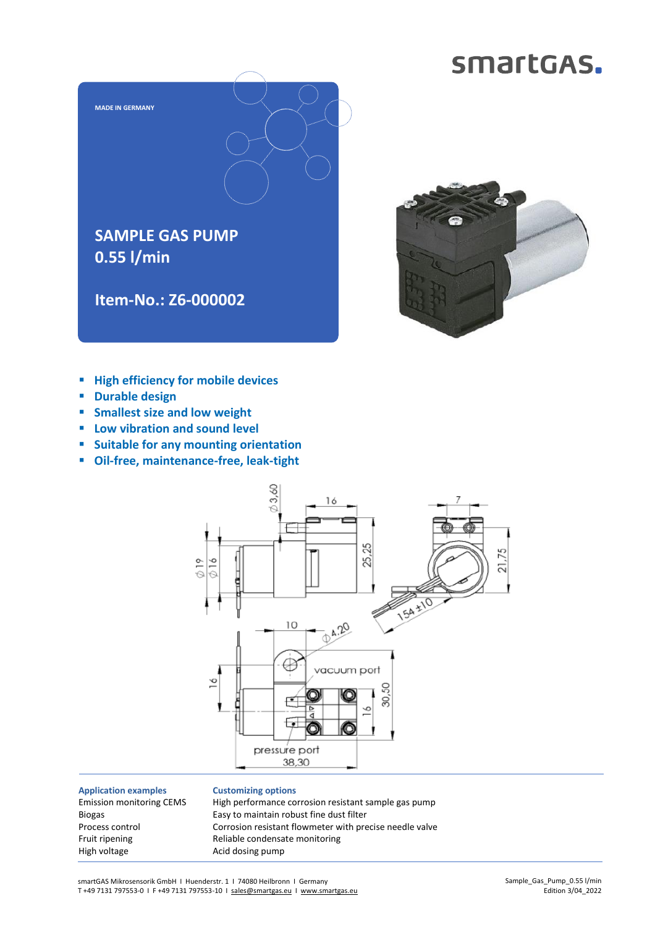## smartGAS.





- **High efficiency for mobile devices**
- **Durable design**
- **Smallest size and low weight**
- **Low vibration and sound level**
- **Suitable for any mounting orientation**
- **Oil-free, maintenance-free, leak-tight**



**Application examples** Emission monitoring CEMS Biogas Process control Fruit ripening High voltage

## **Customizing options**

High performance corrosion resistant sample gas pump Easy to maintain robust fine dust filter Corrosion resistant flowmeter with precise needle valve Reliable condensate monitoring Acid dosing pump